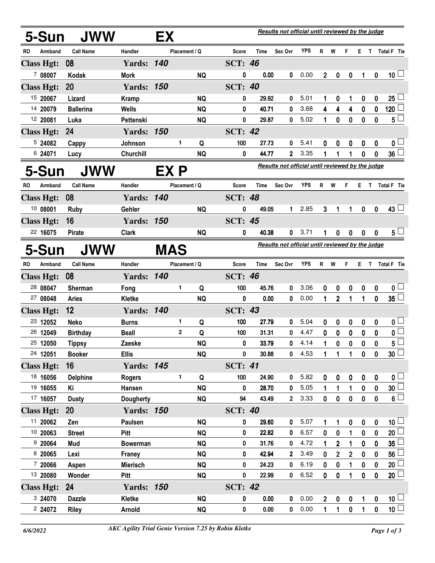|                     | 5-Sun             | <b>JWW</b>       |                   | Results not official until reviewed by the judge<br>EX |               |           |                |       |                                                  |            |                |              |              |                  |                  |                         |
|---------------------|-------------------|------------------|-------------------|--------------------------------------------------------|---------------|-----------|----------------|-------|--------------------------------------------------|------------|----------------|--------------|--------------|------------------|------------------|-------------------------|
| RO                  | Armband           | <b>Call Name</b> | Handler           |                                                        | Placement / Q |           | Score          | Time  | Sec Ovr                                          | <b>YPS</b> |                | R W          | F.           |                  |                  | E T Total F Tie         |
|                     | <b>Class Hgt:</b> | 08               | <b>Yards: 140</b> |                                                        |               |           | <b>SCT: 46</b> |       |                                                  |            |                |              |              |                  |                  |                         |
|                     | 7 08007           | Kodak            | <b>Mork</b>       |                                                        |               | <b>NQ</b> | 0              | 0.00  | 0                                                | 0.00       | $\overline{2}$ | 0            | 0            | 1                | $\mathbf 0$      | 10 <sup>1</sup>         |
|                     | <b>Class Hgt:</b> | 20               | <b>Yards: 150</b> |                                                        |               |           | <b>SCT: 40</b> |       |                                                  |            |                |              |              |                  |                  |                         |
|                     | 15 20067          | Lizard           | <b>Kramp</b>      |                                                        |               | <b>NQ</b> | 0              | 29.92 | 0                                                | 5.01       | 1              | 0            | 1            | 0                | 0                | $25 -$                  |
|                     | 14 20079          | <b>Ballerina</b> | <b>Wells</b>      |                                                        |               | <b>NQ</b> | 0              | 40.71 | 0                                                | 3.68       | 4              | 4            | 4            | 0                | 0                | 120                     |
|                     | 12 20081          | Luka             | Pettenski         |                                                        |               | <b>NQ</b> | 0              | 29.87 | 0                                                | 5.02       | 1              | $\bf{0}$     | 0            | $\bf{0}$         | $\boldsymbol{0}$ | 5 <sub>1</sub>          |
|                     | <b>Class Hgt:</b> | 24               | <b>Yards:</b>     | 150                                                    |               |           | <b>SCT: 42</b> |       |                                                  |            |                |              |              |                  |                  |                         |
|                     | 5 24082           | Cappy            | Johnson           |                                                        | 1             | Q         | 100            | 27.73 | 0                                                | 5.41       | 0              | 0            | 0            | 0                | 0                | 0 <sub>1</sub>          |
|                     | 6 24071           | Lucy             | <b>Churchill</b>  |                                                        |               | <b>NQ</b> | 0              | 44.77 | 2                                                | 3.35       | 1              |              |              | 0                | 0                | $36\perp$               |
|                     | 5-Sun             | <b>JWW</b>       |                   | EX P                                                   |               |           |                |       | Results not official until reviewed by the judge |            |                |              |              |                  |                  |                         |
| RO                  | Armband           | <b>Call Name</b> | Handler           |                                                        | Placement / Q |           | Score          | Time  | Sec Ovr                                          | <b>YPS</b> |                | R W          | F.           |                  |                  | E T Total F Tie         |
|                     | <b>Class Hgt:</b> | 08               | <b>Yards: 140</b> |                                                        |               |           | <b>SCT: 48</b> |       |                                                  |            |                |              |              |                  |                  |                         |
|                     | 10 08001          | Ruby             | Gehler            |                                                        |               | <b>NQ</b> | 0              | 49.05 | $\mathbf{1}$                                     | 2.85       | 3              | 1            |              | 0                | 0                | $43 \Box$               |
|                     | <b>Class Hgt:</b> | 16               | <b>Yards: 150</b> |                                                        |               |           | <b>SCT: 45</b> |       |                                                  |            |                |              |              |                  |                  |                         |
|                     | 22 16075          | <b>Pirate</b>    | <b>Clark</b>      |                                                        |               | <b>NQ</b> | 0              | 40.38 | 0                                                | 3.71       | 1              | 0            | 0            | $\boldsymbol{0}$ | 0                | $5^{\perp}$             |
| <b>JWW</b><br>5-Sun |                   |                  |                   | <b>MAS</b>                                             |               |           |                |       | Results not official until reviewed by the judge |            |                |              |              |                  |                  |                         |
| RO.                 | Armband           | <b>Call Name</b> | Handler           |                                                        | Placement / Q |           | Score          | Time  | Sec Ovr                                          | <b>YPS</b> | R.             | W            | F.           | E.               | $\mathsf{T}$     | Total F Tie             |
|                     | <b>Class Hgt:</b> | 08               | <b>Yards: 140</b> |                                                        |               |           | <b>SCT: 46</b> |       |                                                  |            |                |              |              |                  |                  |                         |
|                     | 28 08047          | <b>Sherman</b>   | Fong              |                                                        | 1.            | Q         | 100            | 45.76 | 0                                                | 3.06       | 0              | 0            | 0            | 0                | $\boldsymbol{0}$ | 0 <sub>1</sub>          |
|                     | 27 08048          | <b>Aries</b>     | <b>Kletke</b>     |                                                        |               | <b>NQ</b> | 0              | 0.00  | 0                                                | 0.00       | $\mathbf{1}$   | $\mathbf 2$  | 1            | 1                | $\boldsymbol{0}$ | $35\Box$                |
|                     | <b>Class Hgt:</b> | 12               | <b>Yards: 140</b> |                                                        |               |           | <b>SCT: 43</b> |       |                                                  |            |                |              |              |                  |                  |                         |
|                     | 23 12052          | Neko             | <b>Burns</b>      |                                                        | 1.            | Q         | 100            | 27.79 | 0                                                | 5.04       | 0              | 0            | 0            | 0                | 0                | $\mathbf{0}$ $\Box$     |
|                     | 26 12049          | <b>Birthday</b>  | <b>Beall</b>      |                                                        | $\mathbf 2$   | Q         | 100            | 31.31 | 0                                                | 4.47       | 0              | 0            | 0            | $\mathbf 0$      | $\mathbf{0}$     | $\overline{\mathbf{0}}$ |
|                     | 25 12050          | <b>Tippsy</b>    | Zaeske            |                                                        |               | <b>NQ</b> | 0              | 33.79 | 0                                                | 4.14       | $\mathbf 1$    | $\mathbf{0}$ | $\mathbf{0}$ | $\mathbf{0}$     | $\mathbf{0}$     | $5^{\frac{1}{2}}$       |
|                     | 24 12051          | <b>Booker</b>    | <b>Ellis</b>      |                                                        |               | <b>NQ</b> | 0              | 30.88 | 0                                                | 4.53       | 1              | 1            | 1            | $\pmb{0}$        | $\mathbf 0$      | 30 <sup>1</sup>         |
|                     | <b>Class Hgt:</b> | 16               | <b>Yards: 145</b> |                                                        |               |           | <b>SCT: 41</b> |       |                                                  |            |                |              |              |                  |                  |                         |
|                     | 18 16056          | <b>Delphine</b>  | <b>Rogers</b>     |                                                        | 1             | Q         | 100            | 24.90 | 0                                                | 5.82       | 0              | 0            | $\pmb{0}$    | $\pmb{0}$        | $\pmb{0}$        | $\mathbf{0}$ $\Box$     |
|                     | 19 16055          | Κi               | Hansen            |                                                        |               | <b>NQ</b> | 0              | 28.70 | 0                                                | 5.05       |                | 1            | 1            | 0                | 0                | $\overline{30}$         |
|                     | 17 16057          | <b>Dusty</b>     | Dougherty         |                                                        |               | <b>NQ</b> | 94             | 43.49 | $2^{\circ}$                                      | 3.33       | $\mathbf 0$    | $\pmb{0}$    | $\mathbf 0$  | $\pmb{0}$        | $\mathbf 0$      | $6^{\square}$           |
|                     | <b>Class Hgt:</b> | <b>20</b>        | <b>Yards: 150</b> |                                                        |               |           | <b>SCT: 40</b> |       |                                                  |            |                |              |              |                  |                  |                         |
|                     | 11 20062          | Zen              | Paulsen           |                                                        |               | <b>NQ</b> | 0              | 29.60 | 0                                                | 5.07       |                | 1            | 0            | $\boldsymbol{0}$ | 0                | 10 <sup>1</sup>         |
|                     | 10 20063          | <b>Street</b>    | Pitt              |                                                        |               | <b>NQ</b> | 0              | 22.82 | 0                                                | 6.57       | $\mathbf 0$    | 0            | 1            | 0                | 0                | 20 <sup>1</sup>         |
|                     | 920064            | Mud              | <b>Bowerman</b>   |                                                        |               | <b>NQ</b> | 0              | 31.76 | 0                                                | 4.72       | 1              | $\mathbf{2}$ | 1            | $\bf{0}$         | $\bf{0}$         | $35^{\frac{1}{2}}$      |
|                     | 8 20065           | Lexi             | Franey            |                                                        |               | <b>NQ</b> | 0              | 42.94 | $\mathbf{2}$                                     | 3.49       | $\mathbf 0$    | $\mathbf{2}$ | $\mathbf{2}$ | $\boldsymbol{0}$ | 0                | $56^{\frac{1}{2}}$      |
|                     | 7 20066           | Aspen            | <b>Mierisch</b>   |                                                        |               | <b>NQ</b> | 0              | 24.23 | 0                                                | 6.19       | $\mathbf{0}$   | $\bf{0}$     | 1            | 0                | $\bf{0}$         | $20\perp$               |
|                     | 13 20080          | Wonder           | Pitt              |                                                        |               | <b>NQ</b> | 0              | 22.99 | $\mathbf 0$                                      | 6.52       | $\mathbf{0}$   | 0            | 1            | $\pmb{0}$        | $\mathbf 0$      | 20                      |
|                     | <b>Class Hgt:</b> | 24               | <b>Yards: 150</b> |                                                        |               |           | <b>SCT: 42</b> |       |                                                  |            |                |              |              |                  |                  |                         |
|                     | 3 24070           | <b>Dazzle</b>    | Kletke            |                                                        |               | <b>NQ</b> | 0              | 0.00  | 0                                                | 0.00       | $\overline{2}$ | 0            | $\pmb{0}$    | 1                | $\pmb{0}$        | 10 <sup>1</sup>         |
|                     | 2 24072           | <b>Riley</b>     | Arnold            |                                                        |               | <b>NQ</b> | 0              | 0.00  | 0                                                | 0.00       | 1              | 1            | $\mathbf 0$  | 1                | $\mathbf 0$      | 10 <sup>1</sup>         |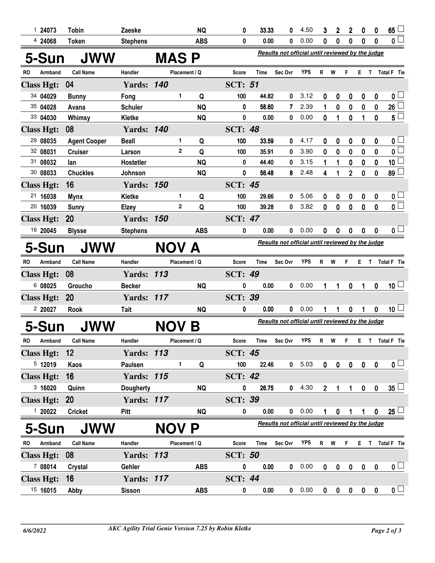|                     | 124073  | <b>Tobin</b>        | Zaeske            |  |                                                           | <b>NQ</b>  | 0                                                | 33.33       | 0                                                | 4.50       | 3           | $\overline{2}$   | $\mathbf 2$    | 0            | 0            | 65                      |
|---------------------|---------|---------------------|-------------------|--|-----------------------------------------------------------|------------|--------------------------------------------------|-------------|--------------------------------------------------|------------|-------------|------------------|----------------|--------------|--------------|-------------------------|
|                     | 4 24068 | <b>Token</b>        | <b>Stephens</b>   |  |                                                           | <b>ABS</b> | 0                                                | 0.00        | 0                                                | 0.00       | 0           | 0                | 0              | 0            | 0            | 0 <sub>0</sub>          |
| <b>JWW</b><br>5-Sun |         |                     |                   |  | <b>MAS P</b>                                              |            | Results not official until reviewed by the judge |             |                                                  |            |             |                  |                |              |              |                         |
| <b>RO</b>           | Armband | <b>Call Name</b>    | Handler           |  | Placement / Q                                             |            | Score                                            | <b>Time</b> | Sec Ovr                                          | YPS        | R           | W                | F              | Е            | T            | Total F Tie             |
| <b>Class Hgt:</b>   |         | 04                  | <b>Yards: 140</b> |  |                                                           |            | <b>SCT: 51</b>                                   |             |                                                  |            |             |                  |                |              |              |                         |
| 34 04029            |         | <b>Bunny</b>        | Fong              |  | 1                                                         | Q          | 100                                              | 44.82       | 0                                                | 3.12       | 0           | 0                | 0              | 0            | 0            | 0 <sub>1</sub>          |
| 35 04028            |         | Avana               | <b>Schuler</b>    |  |                                                           | <b>NQ</b>  | 0                                                | 58.60       | 7                                                | 2.39       | 1           | 0                | 0              | $\bf{0}$     | 0            | $26\lfloor$             |
| 33 04030            |         | Whimsy              | Kletke            |  |                                                           | <b>NQ</b>  | 0                                                | 0.00        | 0                                                | 0.00       | 0           | 1                | $\mathbf 0$    | 1            | $\mathbf{0}$ | $5\perp$                |
| <b>Class Hgt:</b>   |         | 08                  | <b>Yards: 140</b> |  |                                                           |            | <b>SCT: 48</b>                                   |             |                                                  |            |             |                  |                |              |              |                         |
| 29 08035            |         | <b>Agent Cooper</b> | <b>Beall</b>      |  | 1                                                         | Q          | 100                                              | 33.59       | 0                                                | 4.17       | 0           | 0                | 0              | 0            | 0            | 0 <sub>1</sub>          |
| 32 08031            |         | <b>Cruiser</b>      | Larson            |  | $\mathbf 2$                                               | Q          | 100                                              | 35.91       | 0                                                | 3.90       | 0           | 0                | 0              | 0            | 0            | $\mathbf{0}$            |
| 31 08032            |         | lan                 | Hostetler         |  |                                                           | <b>NQ</b>  | 0                                                | 44.40       | 0                                                | 3.15       | 1           | 1                | 0              | 0            | 0            | 10 $\lfloor$            |
| 30 08033            |         | <b>Chuckles</b>     | Johnson           |  |                                                           | <b>NQ</b>  | 0                                                | 56.48       | 8                                                | 2.48       | 4           | 1                | $\overline{2}$ | 0            | 0            | 89 <sup>1</sup>         |
| <b>Class Hgt:</b>   |         | 16                  | <b>Yards: 150</b> |  |                                                           |            | <b>SCT: 45</b>                                   |             |                                                  |            |             |                  |                |              |              |                         |
| 21 16038            |         | <b>Mynx</b>         | Kletke            |  | 1                                                         | Q          | 100                                              | 29.66       | 0                                                | 5.06       | 0           | 0                | 0              | 0            | 0            | 0 <sub>1</sub>          |
| 20 16039            |         | <b>Sunry</b>        | <b>Elzey</b>      |  | $\mathbf{2}$                                              | Q          | 100                                              | 39.28       | 0                                                | 3.82       | 0           | 0                | 0              | 0            | 0            | $\overline{\mathbf{0}}$ |
| <b>Class Hgt:</b>   |         | 20                  | <b>Yards: 150</b> |  |                                                           |            | <b>SCT: 47</b>                                   |             |                                                  |            |             |                  |                |              |              |                         |
| 16 20045            |         | <b>Blysse</b>       | <b>Stephens</b>   |  |                                                           | <b>ABS</b> | 0                                                | 0.00        | 0                                                | 0.00       | 0           | 0                | 0              | $\mathbf 0$  | 0            | 0 <sub>1</sub>          |
| <b>JWW</b><br>5-Sun |         |                     |                   |  | Results not official until reviewed by the judge<br>NOV A |            |                                                  |             |                                                  |            |             |                  |                |              |              |                         |
| RO                  | Armband | <b>Call Name</b>    | Handler           |  | Placement / Q                                             |            | Score                                            | Time        | Sec Ovr                                          | YPS        | R           | W                | F              | E.           | T            | Total F Tie             |
| <b>Class Hgt:</b>   |         | 08                  | <b>Yards: 113</b> |  |                                                           |            | <b>SCT: 49</b>                                   |             |                                                  |            |             |                  |                |              |              |                         |
|                     | 6 08025 | Groucho             | <b>Becker</b>     |  |                                                           | <b>NQ</b>  | 0                                                | 0.00        | 0                                                | 0.00       | 1           | 1                | 0              | 1            | 0            | 10 <sup>1</sup>         |
| <b>Class Hgt:</b>   |         | <b>20</b>           | <b>Yards: 117</b> |  |                                                           |            | <b>SCT: 39</b>                                   |             |                                                  |            |             |                  |                |              |              |                         |
|                     | 2 20027 | <b>Rook</b>         | <b>Tait</b>       |  |                                                           | <b>NQ</b>  | 0                                                | 0.00        | 0                                                | 0.00       | 1           | 1                | 0              | 1            | $\mathbf 0$  | 10 <sup>1</sup>         |
| 5-Sun<br>JWW        |         |                     |                   |  | <b>NOV</b>                                                | B          | Results not official until reviewed by the judge |             |                                                  |            |             |                  |                |              |              |                         |
| RO                  | Armband | <b>Call Name</b>    | Handler           |  | Placement / Q                                             |            | Score                                            | Time        | Sec Ovr                                          | <b>YPS</b> | R           | W                | F              | Е            |              | T Total F Tie           |
| <b>Class Hgt:</b>   |         | 12                  | <b>Yards: 113</b> |  |                                                           |            | <b>SCT: 45</b>                                   |             |                                                  |            |             |                  |                |              |              |                         |
|                     | 5 12019 | Kaos                | Paulsen           |  | 1                                                         | Q          | 100                                              | 22.46       |                                                  | 0 5.03     | $\mathbf 0$ | $\mathbf 0$      | $\mathbf{0}$   | $\mathbf{0}$ | $\mathbf 0$  | 0 <sub>1</sub>          |
| <b>Class Hgt:</b>   |         | 16                  | <b>Yards: 115</b> |  |                                                           |            | <b>SCT: 42</b>                                   |             |                                                  |            |             |                  |                |              |              |                         |
|                     | 3,16020 | Quinn               | <b>Dougherty</b>  |  |                                                           | <b>NQ</b>  | 0                                                | 26.75       | $\mathbf 0$                                      | 4.30       | $2^{\circ}$ | 1                | $\mathbf{1}$   | $\mathbf 0$  | $\mathbf 0$  | $35\perp$               |
| <b>Class Hgt:</b>   |         | <b>20</b>           | <b>Yards: 117</b> |  |                                                           |            | <b>SCT: 39</b>                                   |             |                                                  |            |             |                  |                |              |              |                         |
|                     |         |                     |                   |  |                                                           |            |                                                  |             |                                                  | 0 0.00     |             |                  |                |              |              | $25 -$                  |
|                     |         |                     | Pitt              |  |                                                           | <b>NQ</b>  | 0                                                | 0.00        |                                                  |            | 1           | $\mathbf 0$      |                | $\mathbf{1}$ | $\mathbf 0$  |                         |
|                     | 120022  | <b>Cricket</b>      |                   |  |                                                           |            |                                                  |             | Results not official until reviewed by the judge |            |             |                  | $\mathbf 1$    |              |              |                         |
|                     | 5-Sun   | <b>JWW</b>          |                   |  | NOV P                                                     |            |                                                  |             |                                                  |            |             |                  |                |              |              |                         |
| RO                  | Armband | <b>Call Name</b>    | Handler           |  | Placement / Q                                             |            | Score                                            | Time        | Sec Ovr                                          | <b>YPS</b> | R           | W                | F              | Е.           | T            |                         |
| <b>Class Hgt:</b>   |         | 08                  | <b>Yards: 113</b> |  |                                                           |            | <b>SCT: 50</b>                                   |             |                                                  |            |             |                  |                |              |              | Total F Tie             |
|                     | 7 08014 | Crystal             | Gehler            |  |                                                           | <b>ABS</b> | 0                                                | 0.00        | $\mathbf{0}$                                     | 0.00       | $\mathbf 0$ | $\boldsymbol{0}$ | $\pmb{0}$      | $\bf{0}$     | $\bf{0}$     | 0 <sub>1</sub>          |
| <b>Class Hgt:</b>   |         | 16                  | <b>Yards: 117</b> |  |                                                           |            | <b>SCT: 44</b>                                   |             |                                                  |            |             |                  |                |              |              |                         |